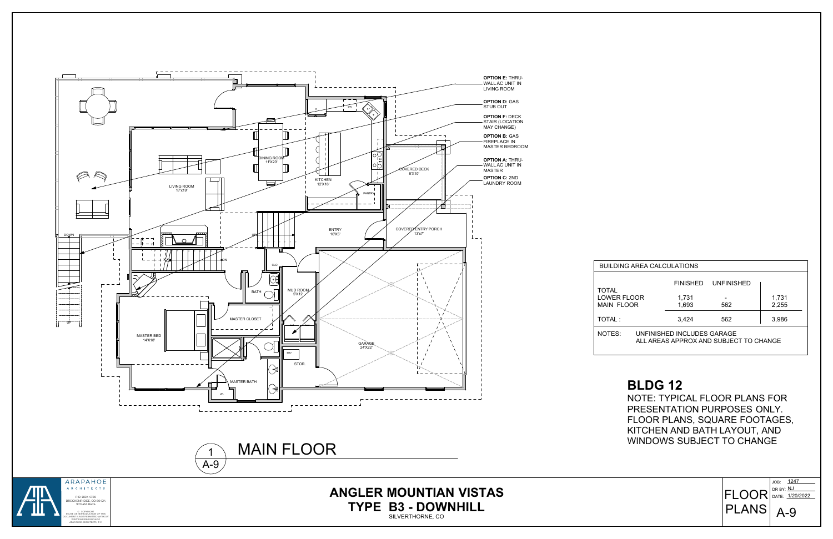**ARAPAHOE** A R C H I T E C T S P.O. BOX 4780 BRECKENRIDGE, CO 80424 970 453 8474 © COPYRIGHT REUSE OR REPRODUCTION OF THIS DOCUMENT IS NOT PERMITTED WITHOUT WRITTEN PERMISSION OF ARAPAHOE ARCHITECTS, P.C.

**ANGLER MOUNTIAN VISTAS TYPE B3 - DOWNHILL**

SILVERTHORNE, CO

| <b>TOTAL</b>                     |                                                                      | <b>FINISHED</b> | UNFINISHED |                |  |
|----------------------------------|----------------------------------------------------------------------|-----------------|------------|----------------|--|
| <b>LOWER FLOOR</b><br>MAIN FLOOR |                                                                      | 1.731<br>1.693  | 562        | 1,731<br>2,255 |  |
| TOTAL:                           |                                                                      | 3.424           | 562        | 3,986          |  |
| NOTES:                           | UNFINISHED INCLUDES GARAGE<br>ALL AREAS APPROX AND SUBJECT TO CHANGE |                 |            |                |  |

BUILDING AREA CALCULATIONS





## **BLDG 12**

NOTE: TYPICAL FLOOR PLANS FOR